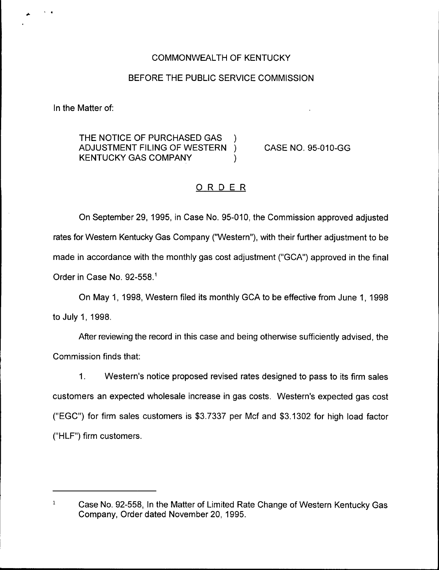# COMMONWEALTH OF KENTUCKY

### BEFORE THE PUBLIC SERVICE COMMISSION

In the Matter of:

THE NOTICE OF PURCHASED GAS )<br>ADJUSTMENT FILING OF WESTERN ) ADJUSTMENT FILING OF WESTERN KENTUCKY GAS COMPANY (1998)

CASE NO. 95-010-GG

# ORDER

On September 29, 1995, in Case No. 95-010, the Commission approved adjusted rates for Western Kentucky Gas Company ("VVestern"), with their further adjustment to be made in accordance with the monthly gas cost adjustment ("GCA") approved in the final Order in Case No. 92-558."

On May 1, 1998, Western filed its monthly GCA to be effective from June 1, 1998 to July 1, 1998.

After reviewing the record in this case and being otherwise sufficiently advised, the Commission finds that:

 $1<sub>1</sub>$ Western's notice proposed revised rates designed to pass to its firm sales customers an expected wholesale increase in gas costs. Western's expected gas cost ("EGC") for firm sales customers is \$3.?337 per Mcf and \$3.1302 for high load factor ("HLF") firm customers.

 $\mathbf{1}$ Case No. 92-558, In the Matter of Limited Rate Change of Western Kentucky Gas Company, Order dated November 20, 1995.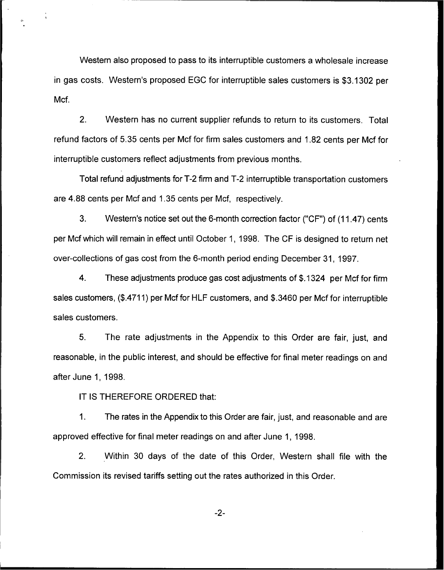Western also proposed to pass to its interruptible customers a wholesale increase in gas costs. Western's proposed EGC for interruptible sales customers is \$3.1302 per Mcf.

2. Western has no current supplier refunds to return to its customers. Total refund factors of 5.35 cents per Mcf for firm sales customers and 1.82 cents per Mcf for interruptible customers reflect adjustments from previous months.

Total refund adjustments for T-2 firm and T-2 interruptible transportation customers are 4.88 cents per Mcf and 1.35 cents per Mcf, respectively.

3. Western's notice set out the 6-month correction factor ("CF") of (11.47) cents per Mcf which will remain in effect until October 1, 1998. The CF is designed to return net over-collections of gas cost from the 6-month period ending December 31, 1997.

4. These adjustments produce gas cost adjustments of \$.1324 per Mcf for firm sales customers, (\$.4711) per Mcf for HLF customers, and \$.3460 per Mcf for interruptible sales customers.

5. The rate adjustments in the Appendix to this Order are fair, just, and reasonable, in the public interest, and should be effective for final meter readings on and after June 1, 1998.

IT IS THEREFORE ORDERED that:

 $\mathbf{1}$ . The rates in the Appendix to this Order are fair, just, and reasonable and are approved effective for final meter readings on and after June 1, 1998.

2. Within 30 days of the date of this Order, Western shall file with the Commission its revised tariffs setting out the rates authorized in this Order.

 $-2-$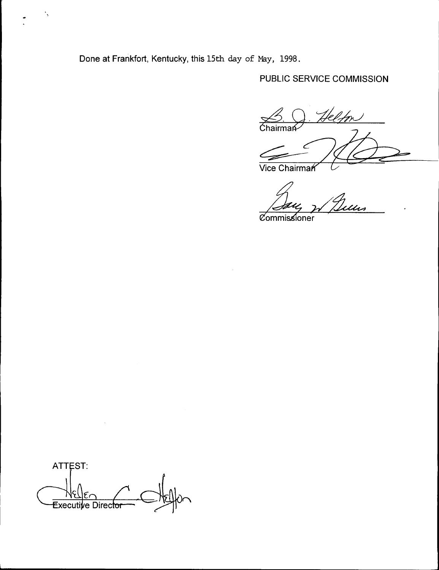Done at Frankfort, Kentucky, this 15th day of May, 1998.

 $\cdot$ 

# PUBLIC SERVICE COMMISSION

Helton  $\xrightarrow{\sim}$  Chairman

Vice Chairman

<u>'</u><br>Ulus

Commissioner

ATTEST: Executive Directo